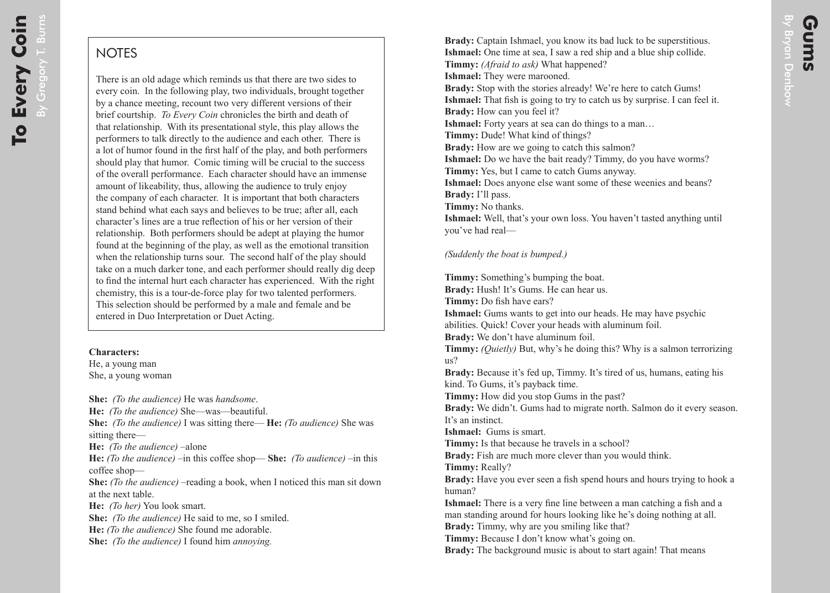## **NOTES**

There is an old adage which reminds us that there are two sides to every coin. In the following play, two individuals, brought together by a chance meeting, recount two very different versions of their brief courtship. *To Every Coin* chronicles the birth and death of that relationship. With its presentational style, this play allows the performers to talk directly to the audience and each other. There is a lot of humor found in the first half of the play, and both performers should play that humor. Comic timing will be crucial to the success of the overall performance. Each character should have an immense amount of likeability, thus, allowing the audience to truly enjoy the company of each character. It is important that both characters stand behind what each says and believes to be true; after all, each character's lines are a true reflection of his or her version of their relationship. Both performers should be adept at playing the humor found at the beginning of the play, as well as the emotional transition when the relationship turns sour. The second half of the play should take on a much darker tone, and each performer should really dig deep to find the internal hurt each character has experienced. With the right chemistry, this is a tour-de-force play for two talented performers. This selection should be performed by a male and female and be entered in Duo Interpretation or Duet Acting.

## **Characters:**

He, a young man She, a young woman

**She:** *(To the audience)* He was *handsome*. **He:** *(To the audience)* She—was—beautiful. **She:** *(To the audience)* I was sitting there— **He:** *(To audience)* She was sitting there— **He:** *(To the audience)* –alone **He:** *(To the audience)* –in this coffee shop— **She:** *(To audience)* –in this coffee shop— **She:** *(To the audience)* –reading a book, when I noticed this man sit down at the next table. **He:** *(To her)* You look smart. **She:** *(To the audience)* He said to me, so I smiled. **He:** *(To the audience)* She found me adorable. **She:** *(To the audience)* I found him *annoying.*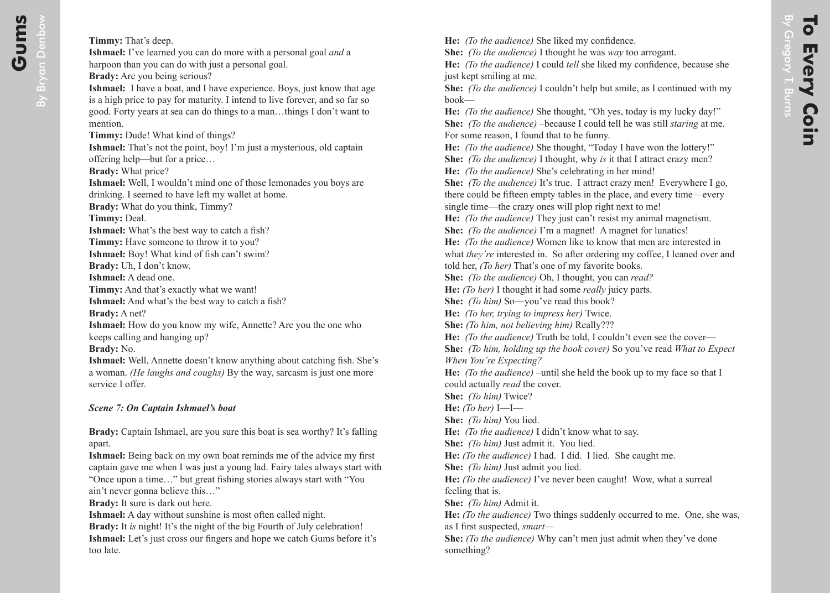**He:** *(To the audience)* She liked my confidence.

**She:** *(To the audience)* I thought he was *way* too arrogant.

**He:** *(To the audience)* I could *tell* she liked my confidence, because she just kept smiling at me.

**She:** *(To the audience)* I couldn't help but smile, as I continued with my book—

**He:** *(To the audience)* She thought, "Oh yes, today is my lucky day!" **She:** *(To the audience)* –because I could tell he was still *staring* at me. For some reason, I found that to be funny.

**He:** *(To the audience)* She thought, "Today I have won the lottery!"

**She:** *(To the audience)* I thought, why *is* it that I attract crazy men?

**He:** *(To the audience)* She's celebrating in her mind!

**She:** *(To the audience)* It's true. I attract crazy men! Everywhere I go, there could be fifteen empty tables in the place, and every time—every single time—the crazy ones will plop right next to me!

**He:** *(To the audience)* They just can't resist my animal magnetism.

**She:** *(To the audience)* I'm a magnet! A magnet for lunatics!

**He:** *(To the audience)* Women like to know that men are interested in what *they're* interested in. So after ordering my coffee, I leaned over and told her, *(To her)* That's one of my favorite books.

**She:** *(To the audience)* Oh, I thought, you can *read?*

**He:** *(To her)* I thought it had some *really* juicy parts.

**She:** *(To him)* So—you've read this book?

**He:** *(To her, trying to impress her)* Twice.

**She:** *(To him, not believing him)* Really???

**He:** *(To the audience)* Truth be told, I couldn't even see the cover—

**She:** *(To him, holding up the book cover)* So you've read *What to Expect When You're Expecting?*

**He:** *(To the audience)* –until she held the book up to my face so that I could actually *read* the cover.

**She:** *(To him)* Twice?

**He:** *(To her)* I—I—

**She:** *(To him)* You lied.

**He:** *(To the audience)* I didn't know what to say.

**She:** *(To him)* Just admit it. You lied.

**He:** *(To the audience)* I had. I did. I lied. She caught me.

**She:** *(To him)* Just admit you lied.

**He:** *(To the audience)* I've never been caught! Wow, what a surreal feeling that is.

**She:** *(To him)* Admit it.

**He:** *(To the audience)* Two things suddenly occurred to me. One, she was, as I first suspected, *smart—*

**She:** *(To the audience)* Why can't men just admit when they've done something?